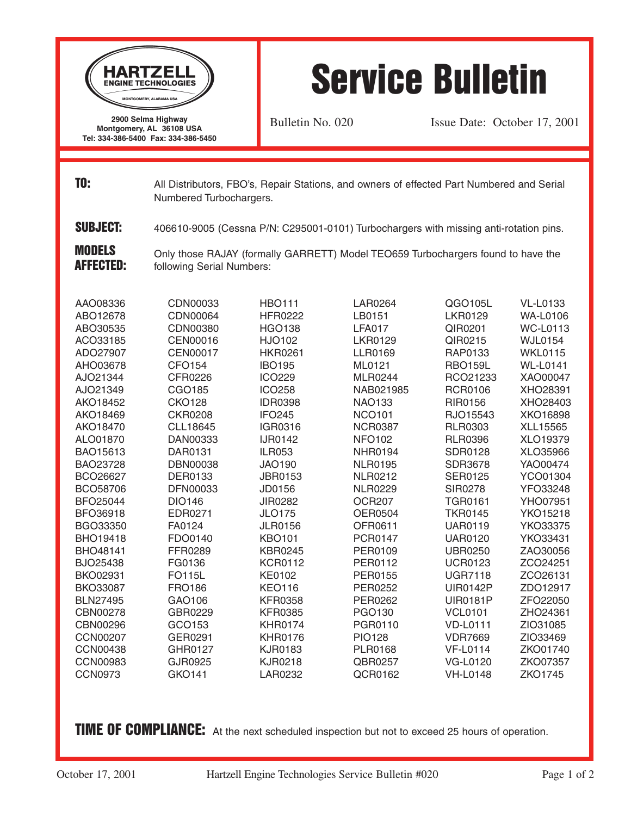

## Service Bulletin

Bulletin No. 020 Issue Date: October 17, 2001

**TO:** All Distributors, FBO's, Repair Stations, and owners of effected Part Numbered and Serial Numbered Turbochargers.

**SUBJECT:** 406610-9005 (Cessna P/N: C295001-0101) Turbochargers with missing anti-rotation pins.

Only those RAJAY (formally GARRETT) Model TEO659 Turbochargers found to have the following Serial Numbers: MODELS AFFECTED:

| AAO08336        | CDN00033        | <b>HBO111</b>  | LAR0264        | QGO105L         | <b>VL-L0133</b> |
|-----------------|-----------------|----------------|----------------|-----------------|-----------------|
| ABO12678        | CDN00064        | <b>HFR0222</b> | LB0151         | <b>LKR0129</b>  | <b>WA-L0106</b> |
| ABO30535        | CDN00380        | <b>HGO138</b>  | <b>LFA017</b>  | QIR0201         | <b>WC-L0113</b> |
| ACO33185        | CEN00016        | HJO102         | <b>LKR0129</b> | QIR0215         | <b>WJL0154</b>  |
| ADO27907        | <b>CEN00017</b> | <b>HKR0261</b> | <b>LLR0169</b> | RAP0133         | <b>WKL0115</b>  |
| AHO03678        | <b>CFO154</b>   | <b>IBO195</b>  | ML0121         | <b>RBO159L</b>  | <b>WL-L0141</b> |
| AJO21344        | CFR0226         | <b>ICO229</b>  | <b>MLR0244</b> | RCO21233        | XAO00047        |
| AJO21349        | CGO185          | <b>ICO258</b>  | NAB021985      | <b>RCR0106</b>  | XHO28391        |
| AKO18452        | <b>CKO128</b>   | <b>IDR0398</b> | <b>NAO133</b>  | <b>RIR0156</b>  | XHO28403        |
| AKO18469        | <b>CKR0208</b>  | <b>IFO245</b>  | <b>NCO101</b>  | RJO15543        | XKO16898        |
| AKO18470        | CLL18645        | IGR0316        | <b>NCR0387</b> | <b>RLR0303</b>  | XLL15565        |
| ALO01870        | DAN00333        | <b>IJR0142</b> | <b>NFO102</b>  | <b>RLR0396</b>  | XLO19379        |
| <b>BAO15613</b> | DAR0131         | <b>ILR053</b>  | <b>NHR0194</b> | <b>SDR0128</b>  | XLO35966        |
| BAO23728        | <b>DBN00038</b> | <b>JAO190</b>  | <b>NLR0195</b> | <b>SDR3678</b>  | YAO00474        |
| BCO26627        | <b>DER0133</b>  | <b>JBR0153</b> | <b>NLR0212</b> | <b>SER0125</b>  | YCO01304        |
| BCO58706        | DFN00033        | JD0156         | <b>NLR0229</b> | SIR0278         | YFO33248        |
| <b>BFO25044</b> | <b>DIO146</b>   | JIR0282        | <b>OCR207</b>  | <b>TGR0161</b>  | YHO07951        |
| BFO36918        | EDR0271         | <b>JLO175</b>  | <b>OER0504</b> | <b>TKR0145</b>  | YKO15218        |
| BGO33350        | FA0124          | <b>JLR0156</b> | OFR0611        | <b>UAR0119</b>  | YKO33375        |
| <b>BHO19418</b> | FDO0140         | <b>KBO101</b>  | <b>PCR0147</b> | <b>UAR0120</b>  | YKO33431        |
| <b>BHO48141</b> | FFR0289         | <b>KBR0245</b> | PER0109        | <b>UBR0250</b>  | ZAO30056        |
| <b>BJO25438</b> | FG0136          | <b>KCR0112</b> | PER0112        | <b>UCR0123</b>  | ZCO24251        |
| <b>BKO02931</b> | <b>FO115L</b>   | <b>KE0102</b>  | <b>PER0155</b> | <b>UGR7118</b>  | ZCO26131        |
| <b>BKO33087</b> | <b>FRO186</b>   | <b>KEO116</b>  | PER0252        | <b>UIR0142P</b> | ZDO12917        |
| <b>BLN27495</b> | GAO106          | <b>KFR0358</b> | <b>PER0262</b> | <b>UIR0181P</b> | ZFO22050        |
| CBN00278        | GBR0229         | <b>KFR0385</b> | PGO130         | <b>VCL0101</b>  | ZHO24361        |
| CBN00296        | GCO153          | <b>KHR0174</b> | PGR0110        | <b>VD-L0111</b> | ZIO31085        |
| <b>CCN00207</b> | GER0291         | <b>KHR0176</b> | <b>PIO128</b>  | <b>VDR7669</b>  | ZIO33469        |
| <b>CCN00438</b> | GHR0127         | <b>KJR0183</b> | <b>PLR0168</b> | <b>VF-L0114</b> | ZKO01740        |
| <b>CCN00983</b> | GJR0925         | <b>KJR0218</b> | QBR0257        | VG-L0120        | ZKO07357        |
| <b>CCN0973</b>  | GKO141          | LAR0232        | QCR0162        | VH-L0148        | <b>ZKO1745</b>  |

TIME OF COMPLIANCE: At the next scheduled inspection but not to exceed 25 hours of operation.